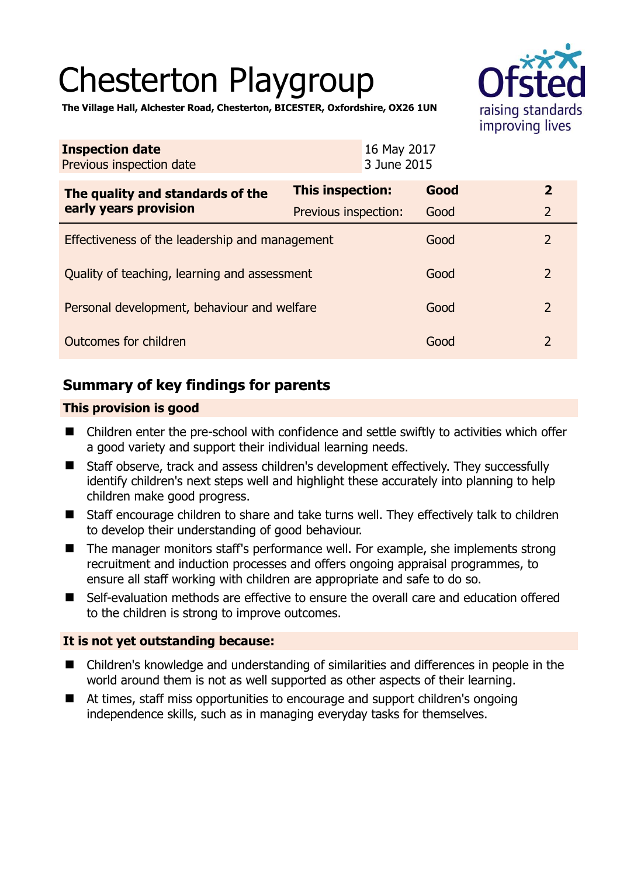# Chesterton Playgroup



**The Village Hall, Alchester Road, Chesterton, BICESTER, Oxfordshire, OX26 1UN** 

| <b>Inspection date</b><br>Previous inspection date        | 16 May 2017<br>3 June 2015 |      |                |
|-----------------------------------------------------------|----------------------------|------|----------------|
| The quality and standards of the<br>early years provision | This inspection:           | Good | $\overline{2}$ |
|                                                           | Previous inspection:       | Good | $\overline{2}$ |
| Effectiveness of the leadership and management            |                            | Good | $\overline{2}$ |
| Quality of teaching, learning and assessment              |                            | Good | $\overline{2}$ |
| Personal development, behaviour and welfare               |                            | Good | $\overline{2}$ |
| Outcomes for children                                     |                            | Good | $\overline{2}$ |

# **Summary of key findings for parents**

# **This provision is good**

- Children enter the pre-school with confidence and settle swiftly to activities which offer a good variety and support their individual learning needs.
- Staff observe, track and assess children's development effectively. They successfully identify children's next steps well and highlight these accurately into planning to help children make good progress.
- Staff encourage children to share and take turns well. They effectively talk to children to develop their understanding of good behaviour.
- The manager monitors staff's performance well. For example, she implements strong recruitment and induction processes and offers ongoing appraisal programmes, to ensure all staff working with children are appropriate and safe to do so.
- Self-evaluation methods are effective to ensure the overall care and education offered to the children is strong to improve outcomes.

# **It is not yet outstanding because:**

- Children's knowledge and understanding of similarities and differences in people in the world around them is not as well supported as other aspects of their learning.
- At times, staff miss opportunities to encourage and support children's ongoing independence skills, such as in managing everyday tasks for themselves.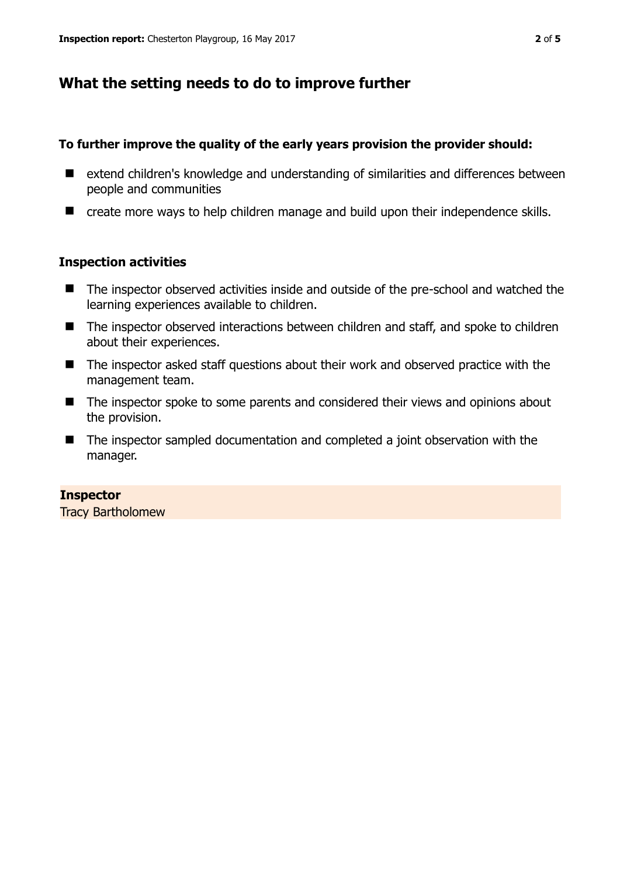# **What the setting needs to do to improve further**

### **To further improve the quality of the early years provision the provider should:**

- extend children's knowledge and understanding of similarities and differences between people and communities
- create more ways to help children manage and build upon their independence skills.

# **Inspection activities**

- The inspector observed activities inside and outside of the pre-school and watched the learning experiences available to children.
- The inspector observed interactions between children and staff, and spoke to children about their experiences.
- The inspector asked staff questions about their work and observed practice with the management team.
- The inspector spoke to some parents and considered their views and opinions about the provision.
- The inspector sampled documentation and completed a joint observation with the manager.

#### **Inspector**

Tracy Bartholomew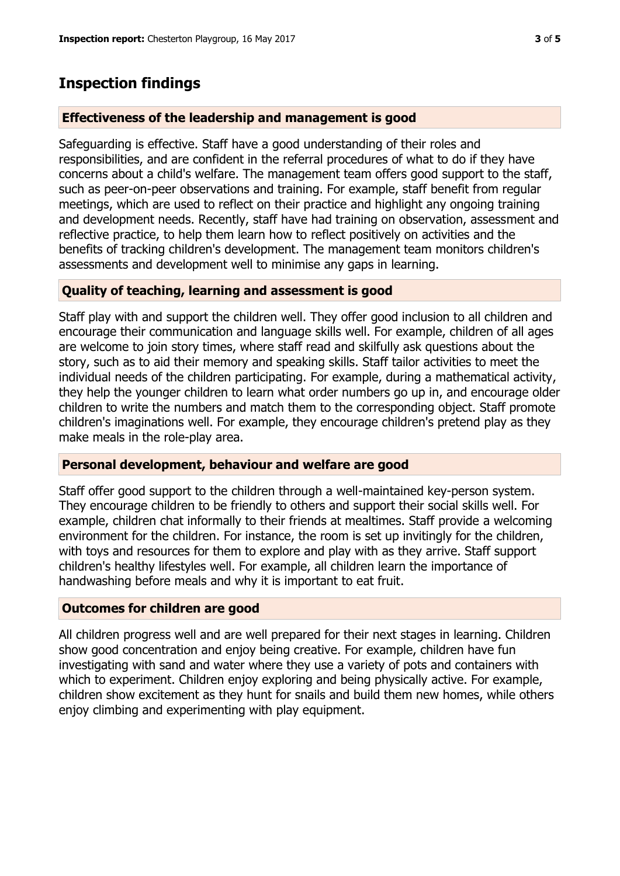# **Inspection findings**

# **Effectiveness of the leadership and management is good**

Safeguarding is effective. Staff have a good understanding of their roles and responsibilities, and are confident in the referral procedures of what to do if they have concerns about a child's welfare. The management team offers good support to the staff, such as peer-on-peer observations and training. For example, staff benefit from regular meetings, which are used to reflect on their practice and highlight any ongoing training and development needs. Recently, staff have had training on observation, assessment and reflective practice, to help them learn how to reflect positively on activities and the benefits of tracking children's development. The management team monitors children's assessments and development well to minimise any gaps in learning.

# **Quality of teaching, learning and assessment is good**

Staff play with and support the children well. They offer good inclusion to all children and encourage their communication and language skills well. For example, children of all ages are welcome to join story times, where staff read and skilfully ask questions about the story, such as to aid their memory and speaking skills. Staff tailor activities to meet the individual needs of the children participating. For example, during a mathematical activity, they help the younger children to learn what order numbers go up in, and encourage older children to write the numbers and match them to the corresponding object. Staff promote children's imaginations well. For example, they encourage children's pretend play as they make meals in the role-play area.

# **Personal development, behaviour and welfare are good**

Staff offer good support to the children through a well-maintained key-person system. They encourage children to be friendly to others and support their social skills well. For example, children chat informally to their friends at mealtimes. Staff provide a welcoming environment for the children. For instance, the room is set up invitingly for the children, with toys and resources for them to explore and play with as they arrive. Staff support children's healthy lifestyles well. For example, all children learn the importance of handwashing before meals and why it is important to eat fruit.

# **Outcomes for children are good**

All children progress well and are well prepared for their next stages in learning. Children show good concentration and enjoy being creative. For example, children have fun investigating with sand and water where they use a variety of pots and containers with which to experiment. Children enjoy exploring and being physically active. For example, children show excitement as they hunt for snails and build them new homes, while others enjoy climbing and experimenting with play equipment.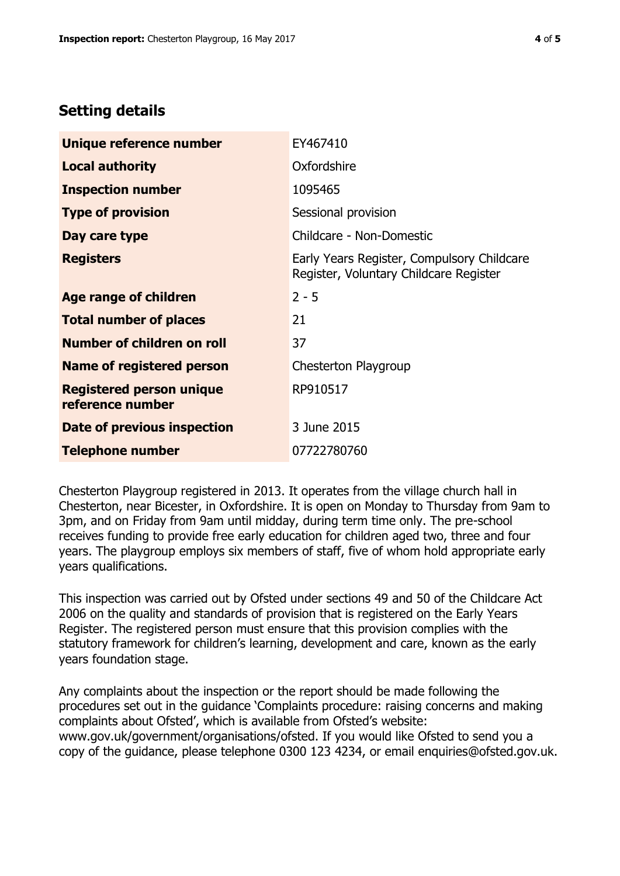# **Setting details**

| Unique reference number                             | EY467410                                                                             |  |
|-----------------------------------------------------|--------------------------------------------------------------------------------------|--|
| <b>Local authority</b>                              | Oxfordshire                                                                          |  |
| <b>Inspection number</b>                            | 1095465                                                                              |  |
| <b>Type of provision</b>                            | Sessional provision                                                                  |  |
| Day care type                                       | Childcare - Non-Domestic                                                             |  |
| <b>Registers</b>                                    | Early Years Register, Compulsory Childcare<br>Register, Voluntary Childcare Register |  |
| Age range of children                               | $2 - 5$                                                                              |  |
| <b>Total number of places</b>                       | 21                                                                                   |  |
| Number of children on roll                          | 37                                                                                   |  |
| Name of registered person                           | Chesterton Playgroup                                                                 |  |
| <b>Registered person unique</b><br>reference number | RP910517                                                                             |  |
| Date of previous inspection                         | 3 June 2015                                                                          |  |
| <b>Telephone number</b>                             | 07722780760                                                                          |  |

Chesterton Playgroup registered in 2013. It operates from the village church hall in Chesterton, near Bicester, in Oxfordshire. It is open on Monday to Thursday from 9am to 3pm, and on Friday from 9am until midday, during term time only. The pre-school receives funding to provide free early education for children aged two, three and four years. The playgroup employs six members of staff, five of whom hold appropriate early years qualifications.

This inspection was carried out by Ofsted under sections 49 and 50 of the Childcare Act 2006 on the quality and standards of provision that is registered on the Early Years Register. The registered person must ensure that this provision complies with the statutory framework for children's learning, development and care, known as the early years foundation stage.

Any complaints about the inspection or the report should be made following the procedures set out in the guidance 'Complaints procedure: raising concerns and making complaints about Ofsted', which is available from Ofsted's website: www.gov.uk/government/organisations/ofsted. If you would like Ofsted to send you a copy of the guidance, please telephone 0300 123 4234, or email enquiries@ofsted.gov.uk.